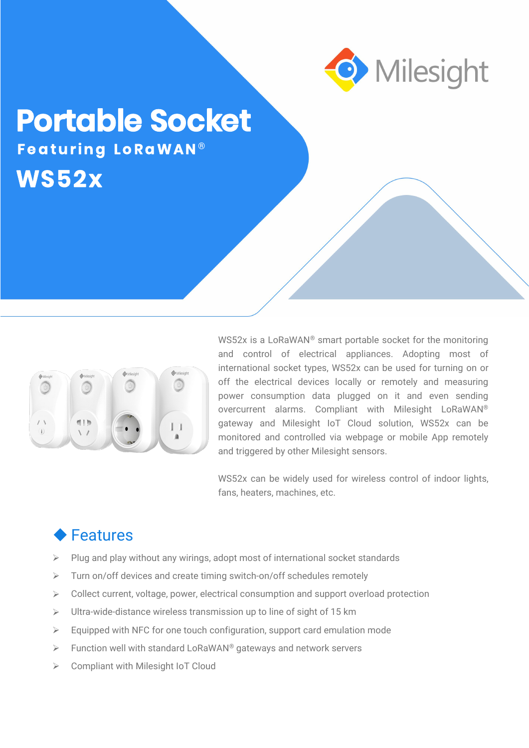

## **Portable Socket WS52x Fe a tur ing Lo Ra WAN** ®



WS52x is a LoRaWAN® smart portable socket for the monitoring and control of electrical appliances. Adopting most of international socket types, WS52x can be used for turning on or off the electrical devices locally or remotely and measuring power consumption data plugged on it and even sending overcurrent alarms. Compliant with Milesight LoRaWAN® gateway and Milesight IoT Cloud solution, WS52x can be monitored and controlled via webpage or mobile App remotely and triggered by other Milesight sensors.

WS52x can be widely used for wireless control of indoor lights, fans, heaters, machines, etc.

## **◆ Features**

- $\triangleright$  Plug and play without any wirings, adopt most of international socket standards
- $\triangleright$  Turn on/off devices and create timing switch-on/off schedules remotely
- $\triangleright$  Collect current, voltage, power, electrical consumption and support overload protection
- $\triangleright$  Ultra-wide-distance wireless transmission up to line of sight of 15 km
- $\triangleright$  Equipped with NFC for one touch configuration, support card emulation mode
- $\triangleright$  Function well with standard LoRaWAN® gateways and network servers
- **►** Compliant with Milesight IoT Cloud